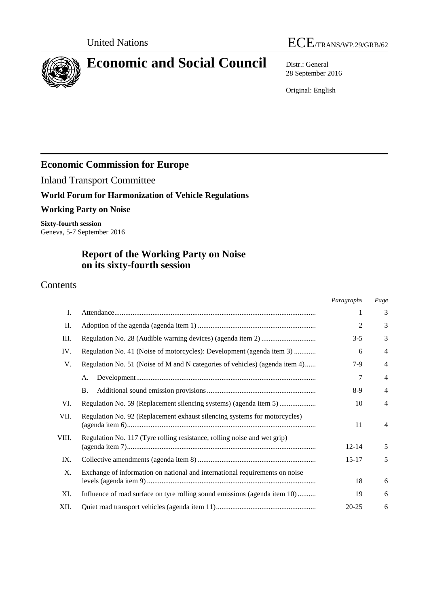

# **Economic and Social Council** Distr.: General

28 September 2016

Original: English

## **Economic Commission for Europe**

Inland Transport Committee

## **World Forum for Harmonization of Vehicle Regulations**

#### **Working Party on Noise**

**Sixty-fourth session** Geneva, 5-7 September 2016

## **Report of the Working Party on Noise on its sixty-fourth session**

## Contents

|       |                                                                             | Paragraphs     | Page           |
|-------|-----------------------------------------------------------------------------|----------------|----------------|
| Ι.    |                                                                             | 1              | 3              |
| Π.    |                                                                             | $\overline{c}$ | 3              |
| Ш.    |                                                                             | $3 - 5$        | 3              |
| IV.   | Regulation No. 41 (Noise of motorcycles): Development (agenda item 3)       | 6              | $\overline{4}$ |
| V.    | Regulation No. 51 (Noise of M and N categories of vehicles) (agenda item 4) | $7-9$          | 4              |
|       | A.                                                                          | 7              | $\overline{4}$ |
|       | <b>B.</b>                                                                   | $8-9$          | 4              |
| VI.   | Regulation No. 59 (Replacement silencing systems) (agenda item 5)           | 10             | $\overline{4}$ |
| VII.  | Regulation No. 92 (Replacement exhaust silencing systems for motorcycles)   | 11             | $\overline{4}$ |
| VIII. | Regulation No. 117 (Tyre rolling resistance, rolling noise and wet grip)    |                |                |
|       |                                                                             | $12 - 14$      | 5              |
| IX.   |                                                                             | $15 - 17$      | 5              |
| X.    | Exchange of information on national and international requirements on noise |                |                |
|       |                                                                             | 18             | 6              |
| XI.   | Influence of road surface on tyre rolling sound emissions (agenda item 10)  | 19             | 6              |
| XII.  |                                                                             | $20 - 25$      | 6              |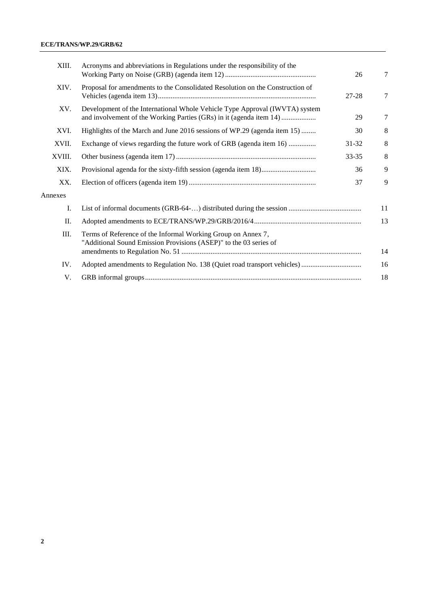#### **ECE/TRANS/WP.29/GRB/62**

| XIII.   | Acronyms and abbreviations in Regulations under the responsibility of the                                                                          |           |    |  |  |  |
|---------|----------------------------------------------------------------------------------------------------------------------------------------------------|-----------|----|--|--|--|
| XIV.    | Proposal for amendments to the Consolidated Resolution on the Construction of                                                                      |           |    |  |  |  |
| XV.     | Development of the International Whole Vehicle Type Approval (IWVTA) system<br>and involvement of the Working Parties (GRs) in it (agenda item 14) |           |    |  |  |  |
| XVI.    | Highlights of the March and June 2016 sessions of WP.29 (agenda item 15)                                                                           | 30        | 8  |  |  |  |
| XVII.   | Exchange of views regarding the future work of GRB (agenda item 16)                                                                                | 31-32     | 8  |  |  |  |
| XVIII.  |                                                                                                                                                    | $33 - 35$ | 8  |  |  |  |
| XIX.    |                                                                                                                                                    | 36        | 9  |  |  |  |
| XX.     |                                                                                                                                                    | 37        | 9  |  |  |  |
| Annexes |                                                                                                                                                    |           |    |  |  |  |
| I.      |                                                                                                                                                    |           | 11 |  |  |  |
| Π.      |                                                                                                                                                    |           |    |  |  |  |
| Ш.      | Terms of Reference of the Informal Working Group on Annex 7,<br>"Additional Sound Emission Provisions (ASEP)" to the 03 series of                  |           | 14 |  |  |  |
| IV.     |                                                                                                                                                    |           | 16 |  |  |  |
| V.      |                                                                                                                                                    |           | 18 |  |  |  |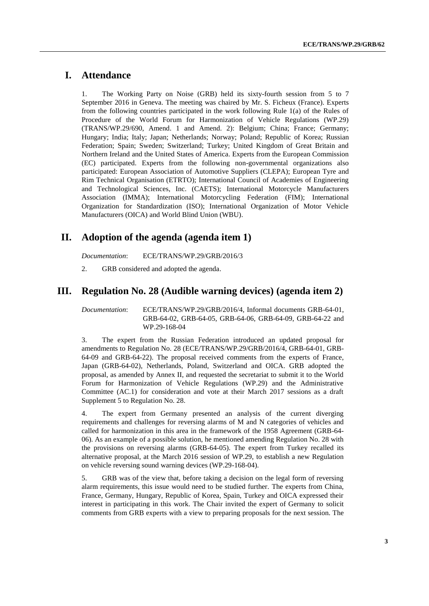## **I. Attendance**

1. The Working Party on Noise (GRB) held its sixty-fourth session from 5 to 7 September 2016 in Geneva. The meeting was chaired by Mr. S. Ficheux (France). Experts from the following countries participated in the work following Rule 1(a) of the Rules of Procedure of the World Forum for Harmonization of Vehicle Regulations (WP.29) (TRANS/WP.29/690, Amend. 1 and Amend. 2): Belgium; China; France; Germany; Hungary; India; Italy; Japan; Netherlands; Norway; Poland; Republic of Korea; Russian Federation; Spain; Sweden; Switzerland; Turkey; United Kingdom of Great Britain and Northern Ireland and the United States of America. Experts from the European Commission (EC) participated. Experts from the following non-governmental organizations also participated: European Association of Automotive Suppliers (CLEPA); European Tyre and Rim Technical Organisation (ETRTO); International Council of Academies of Engineering and Technological Sciences, Inc. (CAETS); International Motorcycle Manufacturers Association (IMMA); International Motorcycling Federation (FIM); International Organization for Standardization (ISO); International Organization of Motor Vehicle Manufacturers (OICA) and World Blind Union (WBU).

#### **II. Adoption of the agenda (agenda item 1)**

*Documentation*: ECE/TRANS/WP.29/GRB/2016/3

2. GRB considered and adopted the agenda.

#### **III. Regulation No. 28 (Audible warning devices) (agenda item 2)**

*Documentation*: ECE/TRANS/WP.29/GRB/2016/4, Informal documents GRB-64-01, GRB-64-02, GRB-64-05, GRB-64-06, GRB-64-09, GRB-64-22 and WP.29-168-04

3. The expert from the Russian Federation introduced an updated proposal for amendments to Regulation No. 28 (ECE/TRANS/WP.29/GRB/2016/4, GRB-64-01, GRB-64-09 and GRB-64-22). The proposal received comments from the experts of France, Japan (GRB-64-02), Netherlands, Poland, Switzerland and OICA. GRB adopted the proposal, as amended by Annex II, and requested the secretariat to submit it to the World Forum for Harmonization of Vehicle Regulations (WP.29) and the Administrative Committee (AC.1) for consideration and vote at their March 2017 sessions as a draft Supplement 5 to Regulation No. 28.

4. The expert from Germany presented an analysis of the current diverging requirements and challenges for reversing alarms of M and N categories of vehicles and called for harmonization in this area in the framework of the 1958 Agreement (GRB-64- 06). As an example of a possible solution, he mentioned amending Regulation No. 28 with the provisions on reversing alarms (GRB-64-05). The expert from Turkey recalled its alternative proposal, at the March 2016 session of WP.29, to establish a new Regulation on vehicle reversing sound warning devices (WP.29-168-04).

5. GRB was of the view that, before taking a decision on the legal form of reversing alarm requirements, this issue would need to be studied further. The experts from China, France, Germany, Hungary, Republic of Korea, Spain, Turkey and OICA expressed their interest in participating in this work. The Chair invited the expert of Germany to solicit comments from GRB experts with a view to preparing proposals for the next session. The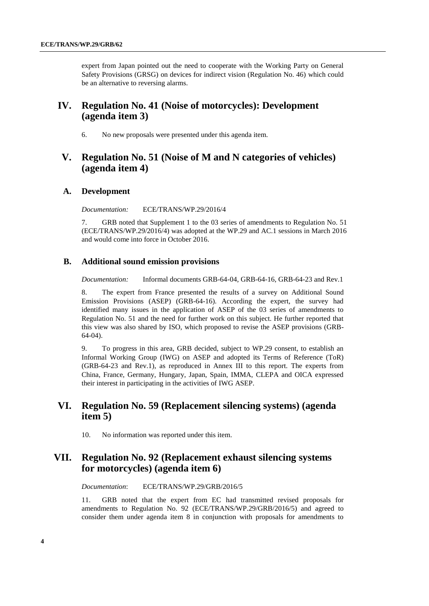expert from Japan pointed out the need to cooperate with the Working Party on General Safety Provisions (GRSG) on devices for indirect vision (Regulation No. 46) which could be an alternative to reversing alarms.

#### **IV. Regulation No. 41 (Noise of motorcycles): Development (agenda item 3)**

6. No new proposals were presented under this agenda item.

### **V. Regulation No. 51 (Noise of M and N categories of vehicles) (agenda item 4)**

#### **A. Development**

*Documentation:* ECE/TRANS/WP.29/2016/4

7. GRB noted that Supplement 1 to the 03 series of amendments to Regulation No. 51 (ECE/TRANS/WP.29/2016/4) was adopted at the WP.29 and AC.1 sessions in March 2016 and would come into force in October 2016.

#### **B. Additional sound emission provisions**

*Documentation:* Informal documents GRB-64-04, GRB-64-16, GRB-64-23 and Rev.1

8. The expert from France presented the results of a survey on Additional Sound Emission Provisions (ASEP) (GRB-64-16). According the expert, the survey had identified many issues in the application of ASEP of the 03 series of amendments to Regulation No. 51 and the need for further work on this subject. He further reported that this view was also shared by ISO, which proposed to revise the ASEP provisions (GRB-64-04).

9. To progress in this area, GRB decided, subject to WP.29 consent, to establish an Informal Working Group (IWG) on ASEP and adopted its Terms of Reference (ToR) (GRB-64-23 and Rev.1), as reproduced in Annex III to this report. The experts from China, France, Germany, Hungary, Japan, Spain, IMMA, CLEPA and OICA expressed their interest in participating in the activities of IWG ASEP.

### **VI. Regulation No. 59 (Replacement silencing systems) (agenda item 5)**

10. No information was reported under this item.

## **VII. Regulation No. 92 (Replacement exhaust silencing systems for motorcycles) (agenda item 6)**

*Documentation*: ECE/TRANS/WP.29/GRB/2016/5

11. GRB noted that the expert from EC had transmitted revised proposals for amendments to Regulation No. 92 (ECE/TRANS/WP.29/GRB/2016/5) and agreed to consider them under agenda item 8 in conjunction with proposals for amendments to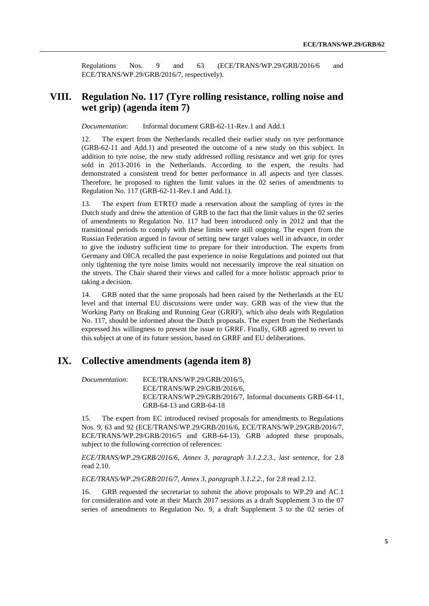Regulations Nos. 9 and 63 (ECE/TRANS/WP.29/GRB/2016/6 and ECE/TRANS/WP.29/GRB/2016/7, respectively).

## **VIII. Regulation No. 117 (Tyre rolling resistance, rolling noise and wet grip) (agenda item 7)**

*Documentation*: Informal document GRB-62-11-Rev.1 and Add.1

12. The expert from the Netherlands recalled their earlier study on tyre performance (GRB-62-11 and Add.1) and presented the outcome of a new study on this subject. In addition to tyre noise, the new study addressed rolling resistance and wet grip for tyres sold in 2013-2016 in the Netherlands. According to the expert, the results had demonstrated a consistent trend for better performance in all aspects and tyre classes. Therefore, he proposed to tighten the limit values in the 02 series of amendments to Regulation No. 117 (GRB-62-11-Rev.1 and Add.1).

13. The expert from ETRTO made a reservation about the sampling of tyres in the Dutch study and drew the attention of GRB to the fact that the limit values in the 02 series of amendments to Regulation No. 117 had been introduced only in 2012 and that the transitional periods to comply with these limits were still ongoing. The expert from the Russian Federation argued in favour of setting new target values well in advance, in order to give the industry sufficient time to prepare for their introduction. The experts from Germany and OICA recalled the past experience in noise Regulations and pointed out that only tightening the tyre noise limits would not necessarily improve the real situation on the streets. The Chair shared their views and called for a more holistic approach prior to taking a decision.

14. GRB noted that the same proposals had been raised by the Netherlands at the EU level and that internal EU discussions were under way. GRB was of the view that the Working Party on Braking and Running Gear (GRRF), which also deals with Regulation No. 117, should be informed about the Dutch proposals. The expert from the Netherlands expressed his willingness to present the issue to GRRF. Finally, GRB agreed to revert to this subject at one of its future session, based on GRRF and EU deliberations.

## **IX. Collective amendments (agenda item 8)**

*Documentation*: ECE/TRANS/WP.29/GRB/2016/5, ECE/TRANS/WP.29/GRB/2016/6, ECE/TRANS/WP.29/GRB/2016/7, Informal documents GRB-64-11, GRB-64-13 and GRB-64-18

15. The expert from EC introduced revised proposals for amendments to Regulations Nos. 9, 63 and 92 (ECE/TRANS/WP.29/GRB/2016/6, ECE/TRANS/WP.29/GRB/2016/7, ECE/TRANS/WP.29/GRB/2016/5 and GRB-64-13). GRB adopted these proposals, subject to the following correction of references:

*ECE/TRANS/WP.29/GRB/2016/6, Annex 3, paragraph 3.1.2.2.3., last sentence,* for 2.8 read 2.10.

*ECE/TRANS/WP.29/GRB/2016/7, Annex 3, paragraph 3.1.2.2.,* for 2.8 read 2.12.

16. GRB requested the secretariat to submit the above proposals to WP.29 and AC.1 for consideration and vote at their March 2017 sessions as a draft Supplement 3 to the 07 series of amendments to Regulation No. 9, a draft Supplement 3 to the 02 series of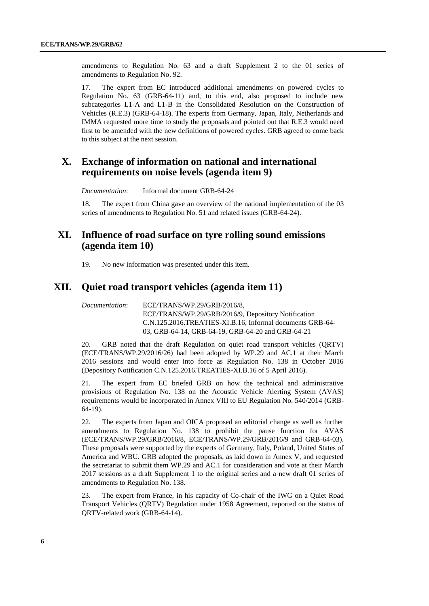amendments to Regulation No. 63 and a draft Supplement 2 to the 01 series of amendments to Regulation No. 92.

17. The expert from EC introduced additional amendments on powered cycles to Regulation No. 63 (GRB-64-11) and, to this end, also proposed to include new subcategories L1-A and L1-B in the Consolidated Resolution on the Construction of Vehicles (R.E.3) (GRB-64-18). The experts from Germany, Japan, Italy, Netherlands and IMMA requested more time to study the proposals and pointed out that R.E.3 would need first to be amended with the new definitions of powered cycles. GRB agreed to come back to this subject at the next session.

### **X. Exchange of information on national and international requirements on noise levels (agenda item 9)**

*Documentation*: Informal document GRB-64-24

18. The expert from China gave an overview of the national implementation of the 03 series of amendments to Regulation No. 51 and related issues (GRB-64-24).

#### **XI. Influence of road surface on tyre rolling sound emissions (agenda item 10)**

19. No new information was presented under this item.

#### **XII. Quiet road transport vehicles (agenda item 11)**

*Documentation*: ECE/TRANS/WP.29/GRB/2016/8, ECE/TRANS/WP.29/GRB/2016/9, Depository Notification C.N.125.2016.TREATIES-XI.B.16, Informal documents GRB-64- 03, GRB-64-14, GRB-64-19, GRB-64-20 and GRB-64-21

20. GRB noted that the draft Regulation on quiet road transport vehicles (QRTV) (ECE/TRANS/WP.29/2016/26) had been adopted by WP.29 and AC.1 at their March 2016 sessions and would enter into force as Regulation No. 138 in October 2016 (Depository Notification C.N.125.2016.TREATIES-XI.B.16 of 5 April 2016).

21. The expert from EC briefed GRB on how the technical and administrative provisions of Regulation No. 138 on the Acoustic Vehicle Alerting System (AVAS) requirements would be incorporated in Annex VIII to EU Regulation No. 540/2014 (GRB-64-19).

22. The experts from Japan and OICA proposed an editorial change as well as further amendments to Regulation No. 138 to prohibit the pause function for AVAS (ECE/TRANS/WP.29/GRB/2016/8, ECE/TRANS/WP.29/GRB/2016/9 and GRB-64-03). These proposals were supported by the experts of Germany, Italy, Poland, United States of America and WBU. GRB adopted the proposals, as laid down in Annex V, and requested the secretariat to submit them WP.29 and AC.1 for consideration and vote at their March 2017 sessions as a draft Supplement 1 to the original series and a new draft 01 series of amendments to Regulation No. 138.

23. The expert from France, in his capacity of Co-chair of the IWG on a Quiet Road Transport Vehicles (QRTV) Regulation under 1958 Agreement, reported on the status of QRTV-related work (GRB-64-14).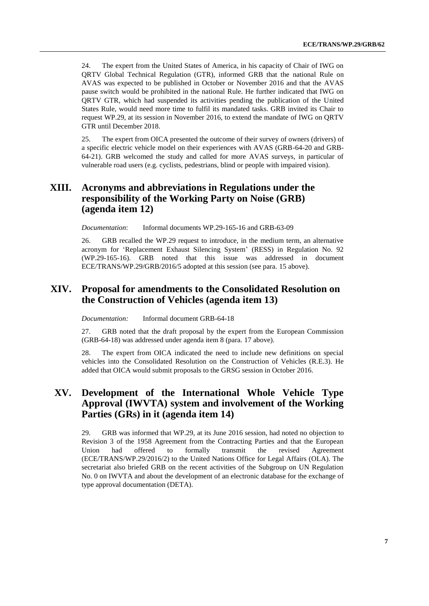24. The expert from the United States of America, in his capacity of Chair of IWG on QRTV Global Technical Regulation (GTR), informed GRB that the national Rule on AVAS was expected to be published in October or November 2016 and that the AVAS pause switch would be prohibited in the national Rule. He further indicated that IWG on QRTV GTR, which had suspended its activities pending the publication of the United States Rule, would need more time to fulfil its mandated tasks. GRB invited its Chair to request WP.29, at its session in November 2016, to extend the mandate of IWG on QRTV GTR until December 2018.

25. The expert from OICA presented the outcome of their survey of owners (drivers) of a specific electric vehicle model on their experiences with AVAS (GRB-64-20 and GRB-64-21). GRB welcomed the study and called for more AVAS surveys, in particular of vulnerable road users (e.g. cyclists, pedestrians, blind or people with impaired vision).

### **XIII. Acronyms and abbreviations in Regulations under the responsibility of the Working Party on Noise (GRB) (agenda item 12)**

*Documentation*: Informal documents WP.29-165-16 and GRB-63-09

26. GRB recalled the WP.29 request to introduce, in the medium term, an alternative acronym for 'Replacement Exhaust Silencing System' (RESS) in Regulation No. 92 (WP.29-165-16). GRB noted that this issue was addressed in document ECE/TRANS/WP.29/GRB/2016/5 adopted at this session (see para. 15 above).

### **XIV. Proposal for amendments to the Consolidated Resolution on the Construction of Vehicles (agenda item 13)**

*Documentation:* Informal document GRB-64-18

27. GRB noted that the draft proposal by the expert from the European Commission (GRB-64-18) was addressed under agenda item 8 (para. 17 above).

28. The expert from OICA indicated the need to include new definitions on special vehicles into the Consolidated Resolution on the Construction of Vehicles (R.E.3). He added that OICA would submit proposals to the GRSG session in October 2016.

## **XV. Development of the International Whole Vehicle Type Approval (IWVTA) system and involvement of the Working Parties (GRs) in it (agenda item 14)**

29. GRB was informed that WP.29, at its June 2016 session, had noted no objection to Revision 3 of the 1958 Agreement from the Contracting Parties and that the European Union had offered to formally transmit the revised Agreement (ECE/TRANS/WP.29/2016/2) to the United Nations Office for Legal Affairs (OLA). The secretariat also briefed GRB on the recent activities of the Subgroup on UN Regulation No. 0 on IWVTA and about the development of an electronic database for the exchange of type approval documentation (DETA).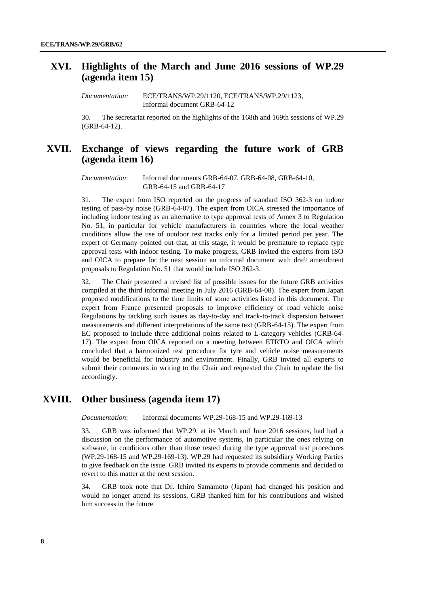#### **XVI. Highlights of the March and June 2016 sessions of WP.29 (agenda item 15)**

*Documentation:* ECE/TRANS/WP.29/1120, ECE/TRANS/WP.29/1123, Informal document GRB-64-12

30. The secretariat reported on the highlights of the 168th and 169th sessions of WP.29 (GRB-64-12).

### **XVII. Exchange of views regarding the future work of GRB (agenda item 16)**

*Documentation*: Informal documents GRB-64-07, GRB-64-08, GRB-64-10, GRB-64-15 and GRB-64-17

31. The expert from ISO reported on the progress of standard ISO 362-3 on indoor testing of pass-by noise (GRB-64-07). The expert from OICA stressed the importance of including indoor testing as an alternative to type approval tests of Annex 3 to Regulation No. 51, in particular for vehicle manufacturers in countries where the local weather conditions allow the use of outdoor test tracks only for a limited period per year. The expert of Germany pointed out that, at this stage, it would be premature to replace type approval tests with indoor testing. To make progress, GRB invited the experts from ISO and OICA to prepare for the next session an informal document with draft amendment proposals to Regulation No. 51 that would include ISO 362-3.

32. The Chair presented a revised list of possible issues for the future GRB activities compiled at the third informal meeting in July 2016 (GRB-64-08). The expert from Japan proposed modifications to the time limits of some activities listed in this document. The expert from France presented proposals to improve efficiency of road vehicle noise Regulations by tackling such issues as day-to-day and track-to-track dispersion between measurements and different interpretations of the same text (GRB-64-15). The expert from EC proposed to include three additional points related to L-category vehicles (GRB-64- 17). The expert from OICA reported on a meeting between ETRTO and OICA which concluded that a harmonized test procedure for tyre and vehicle noise measurements would be beneficial for industry and environment. Finally, GRB invited all experts to submit their comments in writing to the Chair and requested the Chair to update the list accordingly.

#### **XVIII. Other business (agenda item 17)**

*Documentation*: Informal documents WP.29-168-15 and WP.29-169-13

33. GRB was informed that WP.29, at its March and June 2016 sessions, had had a discussion on the performance of automotive systems, in particular the ones relying on software, in conditions other than those tested during the type approval test procedures (WP.29-168-15 and WP.29-169-13). WP.29 had requested its subsidiary Working Parties to give feedback on the issue. GRB invited its experts to provide comments and decided to revert to this matter at the next session.

34. GRB took note that Dr. Ichiro Samamoto (Japan) had changed his position and would no longer attend its sessions. GRB thanked him for his contributions and wished him success in the future.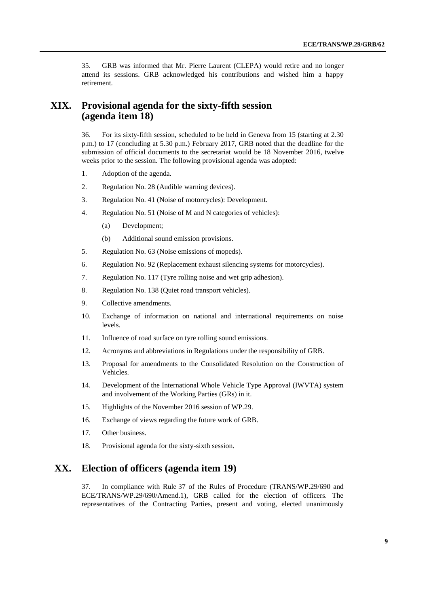35. GRB was informed that Mr. Pierre Laurent (CLEPA) would retire and no longer attend its sessions. GRB acknowledged his contributions and wished him a happy retirement.

## **XIX. Provisional agenda for the sixty-fifth session (agenda item 18)**

36. For its sixty-fifth session, scheduled to be held in Geneva from 15 (starting at 2.30 p.m.) to 17 (concluding at 5.30 p.m.) February 2017, GRB noted that the deadline for the submission of official documents to the secretariat would be 18 November 2016, twelve weeks prior to the session. The following provisional agenda was adopted:

- 1. Adoption of the agenda.
- 2. Regulation No. 28 (Audible warning devices).
- 3. Regulation No. 41 (Noise of motorcycles): Development.
- 4. Regulation No. 51 (Noise of M and N categories of vehicles):
	- (a) Development;
	- (b) Additional sound emission provisions.
- 5. Regulation No. 63 (Noise emissions of mopeds).
- 6. Regulation No. 92 (Replacement exhaust silencing systems for motorcycles).
- 7. Regulation No. 117 (Tyre rolling noise and wet grip adhesion).
- 8. Regulation No. 138 (Quiet road transport vehicles).
- 9. Collective amendments.
- 10. Exchange of information on national and international requirements on noise levels.
- 11. Influence of road surface on tyre rolling sound emissions.
- 12. Acronyms and abbreviations in Regulations under the responsibility of GRB.
- 13. Proposal for amendments to the Consolidated Resolution on the Construction of Vehicles.
- 14. Development of the International Whole Vehicle Type Approval (IWVTA) system and involvement of the Working Parties (GRs) in it.
- 15. Highlights of the November 2016 session of WP.29.
- 16. Exchange of views regarding the future work of GRB.
- 17. Other business.
- 18. Provisional agenda for the sixty-sixth session.

### **XX. Election of officers (agenda item 19)**

37. In compliance with Rule 37 of the Rules of Procedure (TRANS/WP.29/690 and ECE/TRANS/WP.29/690/Amend.1), GRB called for the election of officers. The representatives of the Contracting Parties, present and voting, elected unanimously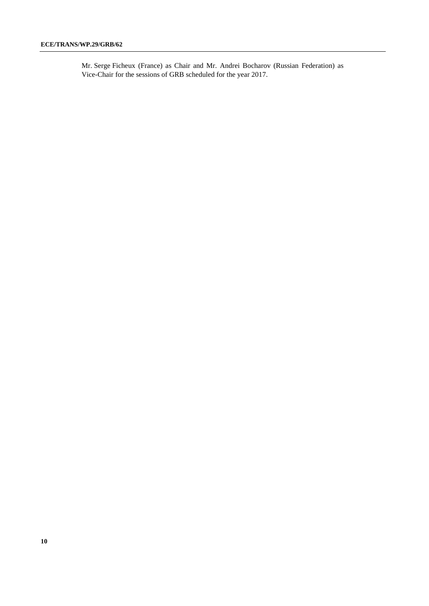Mr. Serge Ficheux (France) as Chair and Mr. Andrei Bocharov (Russian Federation) as Vice-Chair for the sessions of GRB scheduled for the year 2017.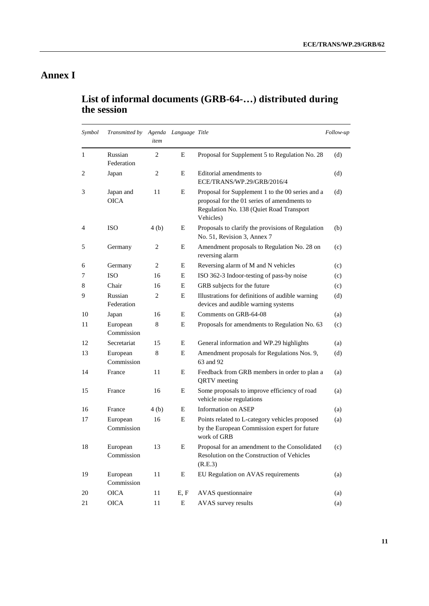## **Annex I**

## **List of informal documents (GRB-64-…) distributed during the session**

| Symbol | Transmitted by           | item           | Agenda Language Title |                                                                                                                                                          | Follow-up |
|--------|--------------------------|----------------|-----------------------|----------------------------------------------------------------------------------------------------------------------------------------------------------|-----------|
| 1      | Russian<br>Federation    | $\overline{c}$ | E                     | Proposal for Supplement 5 to Regulation No. 28                                                                                                           | (d)       |
| 2      | Japan                    | 2              | E                     | Editorial amendments to<br>ECE/TRANS/WP.29/GRB/2016/4                                                                                                    | (d)       |
| 3      | Japan and<br><b>OICA</b> | 11             | Е                     | Proposal for Supplement 1 to the 00 series and a<br>proposal for the 01 series of amendments to<br>Regulation No. 138 (Quiet Road Transport<br>Vehicles) | (d)       |
| 4      | <b>ISO</b>               | 4(b)           | Е                     | Proposals to clarify the provisions of Regulation<br>No. 51, Revision 3, Annex 7                                                                         | (b)       |
| 5      | Germany                  | 2              | E                     | Amendment proposals to Regulation No. 28 on<br>reversing alarm                                                                                           | (c)       |
| 6      | Germany                  | $\overline{c}$ | Ε                     | Reversing alarm of M and N vehicles                                                                                                                      | (c)       |
| 7      | <b>ISO</b>               | 16             | Е                     | ISO 362-3 Indoor-testing of pass-by noise                                                                                                                | (c)       |
| 8      | Chair                    | 16             | E                     | GRB subjects for the future                                                                                                                              | (c)       |
| 9      | Russian<br>Federation    | 2              | E                     | Illustrations for definitions of audible warning<br>devices and audible warning systems                                                                  | (d)       |
| 10     | Japan                    | 16             | Ε                     | Comments on GRB-64-08                                                                                                                                    | (a)       |
| 11     | European<br>Commission   | 8              | Ε                     | Proposals for amendments to Regulation No. 63                                                                                                            | (c)       |
| 12     | Secretariat              | 15             | Е                     | General information and WP.29 highlights                                                                                                                 | (a)       |
| 13     | European<br>Commission   | 8              | Е                     | Amendment proposals for Regulations Nos. 9,<br>63 and 92                                                                                                 | (d)       |
| 14     | France                   | 11             | Е                     | Feedback from GRB members in order to plan a<br><b>QRTV</b> meeting                                                                                      | (a)       |
| 15     | France                   | 16             | Е                     | Some proposals to improve efficiency of road<br>vehicle noise regulations                                                                                | (a)       |
| 16     | France                   | 4 (b)          | E                     | Information on ASEP                                                                                                                                      | (a)       |
| 17     | European<br>Commission   | 16             | E                     | Points related to L-category vehicles proposed<br>by the European Commission expert for future<br>work of GRB                                            | (a)       |
| 18     | European<br>Commission   | 13             | E                     | Proposal for an amendment to the Consolidated<br>Resolution on the Construction of Vehicles<br>(R.E.3)                                                   | (c)       |
| 19     | European<br>Commission   | 11             | E                     | EU Regulation on AVAS requirements                                                                                                                       | (a)       |
| 20     | <b>OICA</b>              | 11             | E, F                  | AVAS questionnaire                                                                                                                                       | (a)       |
| 21     | <b>OICA</b>              | 11             | E                     | AVAS survey results                                                                                                                                      | (a)       |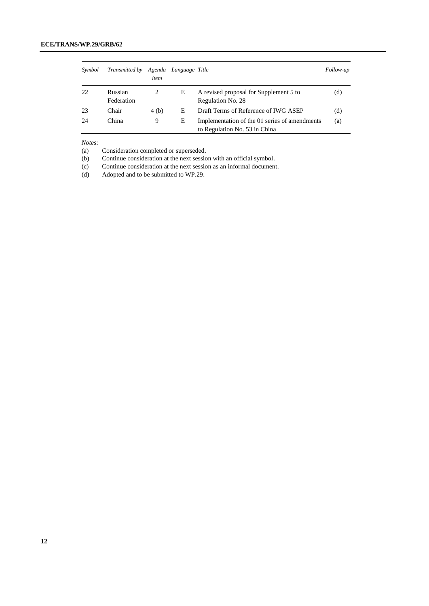| Symbol | <i>Transmitted by</i> | item  | Agenda Language Title |                                                                                | Follow-up |
|--------|-----------------------|-------|-----------------------|--------------------------------------------------------------------------------|-----------|
| 22     | Russian<br>Federation |       | Е                     | A revised proposal for Supplement 5 to<br>Regulation No. 28                    | (d)       |
| 23     | Chair                 | 4 (b) | E                     | Draft Terms of Reference of IWG ASEP                                           | (d)       |
| 24     | China                 | 9     | Е                     | Implementation of the 01 series of amendments<br>to Regulation No. 53 in China | (a)       |

*Notes*:

(a) Consideration completed or superseded.

(b) Continue consideration at the next session with an official symbol.

(c) Continue consideration at the next session as an informal document.<br>
(d) Adopted and to be submitted to WP.29.

Adopted and to be submitted to WP.29.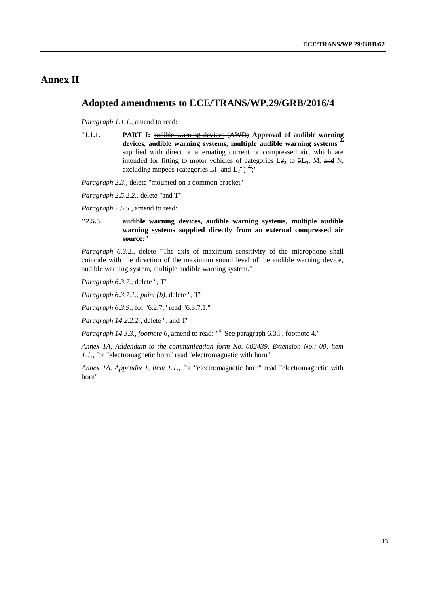### **Annex II**

#### **Adopted amendments to ECE/TRANS/WP.29/GRB/2016/4**

*Paragraph 1.1.1.,* amend to read:

"**1.1.1. PART I:** audible warning devices (AWD) **Approval of audible warning devices**, **audible warning systems, multiple audible warning systems** *1/* supplied with direct or alternating current or compressed air, which are intended for fitting to motor vehicles of categories L3**<sup>3</sup>** to 5**L5**, M, and N, excluding mopeds (categories  $LI_1$  and  $L_2^{\{+1\}}$ <sup>12/</sup>;

*Paragraph 2.3.*, delete "mounted on a common bracket"

*Paragraph 2.5.2.2.,* delete "and T"

*Paragraph 2.5.5.*, amend to read:

#### **"2.5.5. audible warning devices, audible warning systems, multiple audible warning systems supplied directly from an external compressed air source:"**

*Paragraph 6.3.2.*, delete "The axis of maximum sensitivity of the microphone shall coincide with the direction of the maximum sound level of the audible warning device, audible warning system, multiple audible warning system."

*Paragraph 6.3.7.,* delete ", T"

*Paragraph 6.3.7.1., point (b),* delete ", T"

*Paragraph 6.3.9.,* for "6.2.7." read "6.3.7.1."

*Paragraph 14.2.2.2.,* delete ", and T"

Paragraph 14.3.3., footnote 6, amend to read: "<sup>6</sup> See paragraph 6.3.1., footnote 4."

*Annex 1A, Addendum to the communication form No. 002439, Extension No.: 00, item 1.1.*, for "electromagnetic horn" read "electromagnetic with horn"

*Annex 1A, Appendix 1, item 1.1.*, for "electromagnetic horn" read "electromagnetic with horn"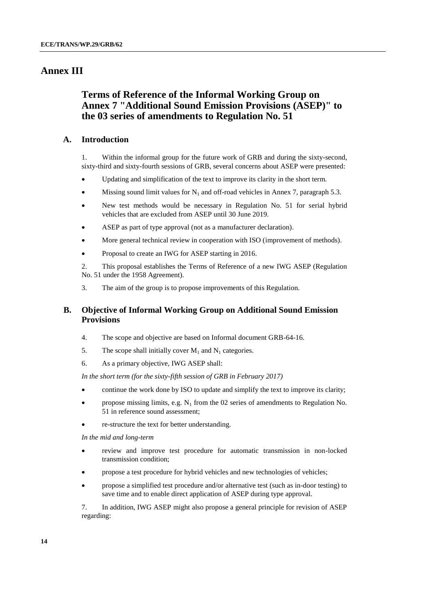#### **Annex III**

## **Terms of Reference of the Informal Working Group on Annex 7 "Additional Sound Emission Provisions (ASEP)" to the 03 series of amendments to Regulation No. 51**

#### **A. Introduction**

1. Within the informal group for the future work of GRB and during the sixty-second, sixty-third and sixty-fourth sessions of GRB, several concerns about ASEP were presented:

- Updating and simplification of the text to improve its clarity in the short term.
- Missing sound limit values for  $N_1$  and off-road vehicles in Annex 7, paragraph 5.3.
- New test methods would be necessary in Regulation No. 51 for serial hybrid vehicles that are excluded from ASEP until 30 June 2019.
- ASEP as part of type approval (not as a manufacturer declaration).
- More general technical review in cooperation with ISO (improvement of methods).
- Proposal to create an IWG for ASEP starting in 2016.

2. This proposal establishes the Terms of Reference of a new IWG ASEP (Regulation No. 51 under the 1958 Agreement).

3. The aim of the group is to propose improvements of this Regulation.

#### **B. Objective of Informal Working Group on Additional Sound Emission Provisions**

- 4. The scope and objective are based on Informal document GRB-64-16.
- 5. The scope shall initially cover  $M_1$  and  $N_1$  categories.
- 6. As a primary objective, IWG ASEP shall:

*In the short term (for the sixty-fifth session of GRB in February 2017)*

- continue the work done by ISO to update and simplify the text to improve its clarity;
- propose missing limits, e.g.  $N_1$  from the 02 series of amendments to Regulation No. 51 in reference sound assessment;
- re-structure the text for better understanding.

*In the mid and long-term*

- review and improve test procedure for automatic transmission in non-locked transmission condition;
- propose a test procedure for hybrid vehicles and new technologies of vehicles;
- propose a simplified test procedure and/or alternative test (such as in-door testing) to save time and to enable direct application of ASEP during type approval.

7. In addition, IWG ASEP might also propose a general principle for revision of ASEP regarding: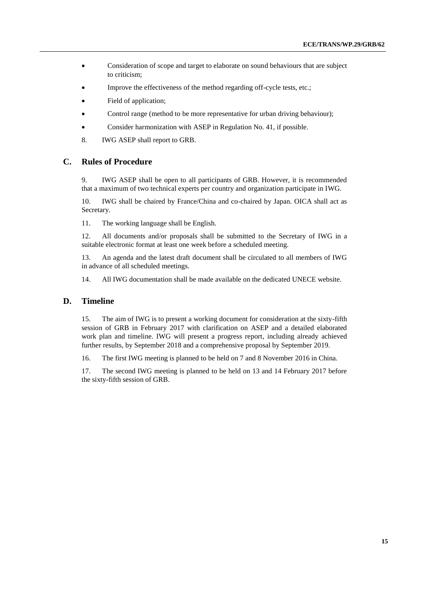- Consideration of scope and target to elaborate on sound behaviours that are subject to criticism;
- Improve the effectiveness of the method regarding off-cycle tests, etc.;
- Field of application;
- Control range (method to be more representative for urban driving behaviour);
- Consider harmonization with ASEP in Regulation No. 41, if possible.
- 8. IWG ASEP shall report to GRB.

#### **C. Rules of Procedure**

9. IWG ASEP shall be open to all participants of GRB. However, it is recommended that a maximum of two technical experts per country and organization participate in IWG.

10. IWG shall be chaired by France/China and co-chaired by Japan. OICA shall act as Secretary.

11. The working language shall be English.

12. All documents and/or proposals shall be submitted to the Secretary of IWG in a suitable electronic format at least one week before a scheduled meeting.

13. An agenda and the latest draft document shall be circulated to all members of IWG in advance of all scheduled meetings.

14. All IWG documentation shall be made available on the dedicated UNECE website.

#### **D. Timeline**

15. The aim of IWG is to present a working document for consideration at the sixty-fifth session of GRB in February 2017 with clarification on ASEP and a detailed elaborated work plan and timeline. IWG will present a progress report, including already achieved further results, by September 2018 and a comprehensive proposal by September 2019.

16. The first IWG meeting is planned to be held on 7 and 8 November 2016 in China.

17. The second IWG meeting is planned to be held on 13 and 14 February 2017 before the sixty-fifth session of GRB.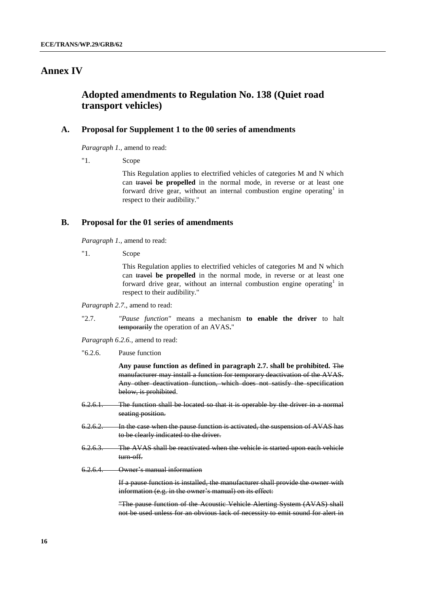## **Annex IV**

#### **Adopted amendments to Regulation No. 138 (Quiet road transport vehicles)**

#### **A. Proposal for Supplement 1 to the 00 series of amendments**

*Paragraph 1.,* amend to read:

"1. Scope

This Regulation applies to electrified vehicles of categories M and N which can travel **be propelled** in the normal mode, in reverse or at least one forward drive gear, without an internal combustion engine operating<sup>1</sup> in respect to their audibility."

#### **B. Proposal for the 01 series of amendments**

*Paragraph 1.,* amend to read:

"1. Scope

This Regulation applies to electrified vehicles of categories M and N which can travel **be propelled** in the normal mode, in reverse or at least one forward drive gear, without an internal combustion engine operating<sup>1</sup> in respect to their audibility."

*Paragraph 2.7.,* amend to read:

"2.7. *"Pause function"* means a mechanism **to enable the driver** to halt temporarily the operation of an AVAS**.**"

*Paragraph 6.2.6.,* amend to read:

"6.2.6. Pause function

**Any pause function as defined in paragraph 2.7. shall be prohibited.** The manufacturer may install a function for temporary deactivation of the AVAS. Any other deactivation function, which does not satisfy the specification below, is prohibited.

- 6.2.6.1. The function shall be located so that it is operable by the driver in a normal seating position.
- 6.2.6.2. In the case when the pause function is activated, the suspension of AVAS has to be clearly indicated to the driver.
- 6.2.6.3. The AVAS shall be reactivated when the vehicle is started upon each vehicle turn-off.
- 6.2.6.4. Owner's manual information

If a pause function is installed, the manufacturer shall provide the owner with information (e.g. in the owner's manual) on its effect:

"The pause function of the Acoustic Vehicle Alerting System (AVAS) shall not be used unless for an obvious lack of necessity to emit sound for alert in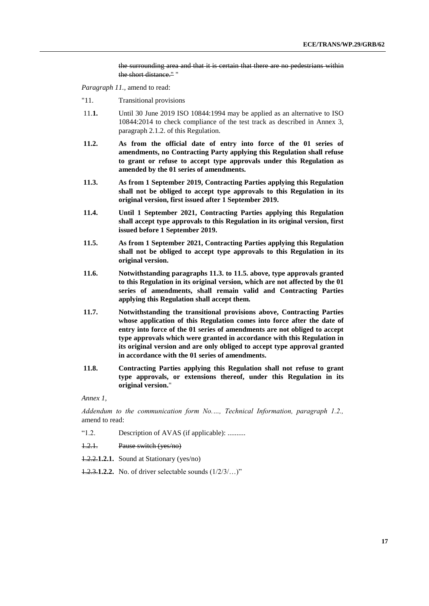the surrounding area and that it is certain that there are no pedestrians within the short distance." "

*Paragraph 11.,* amend to read:

- "11. Transitional provisions
- 11.**1.** Until 30 June 2019 ISO 10844:1994 may be applied as an alternative to ISO 10844:2014 to check compliance of the test track as described in Annex 3, paragraph 2.1.2. of this Regulation.
- **11.2. As from the official date of entry into force of the 01 series of amendments, no Contracting Party applying this Regulation shall refuse to grant or refuse to accept type approvals under this Regulation as amended by the 01 series of amendments.**
- **11.3. As from 1 September 2019, Contracting Parties applying this Regulation shall not be obliged to accept type approvals to this Regulation in its original version, first issued after 1 September 2019.**
- **11.4. Until 1 September 2021, Contracting Parties applying this Regulation shall accept type approvals to this Regulation in its original version, first issued before 1 September 2019.**
- **11.5. As from 1 September 2021, Contracting Parties applying this Regulation shall not be obliged to accept type approvals to this Regulation in its original version.**
- **11.6. Notwithstanding paragraphs 11.3. to 11.5. above, type approvals granted to this Regulation in its original version, which are not affected by the 01 series of amendments, shall remain valid and Contracting Parties applying this Regulation shall accept them.**
- **11.7. Notwithstanding the transitional provisions above, Contracting Parties whose application of this Regulation comes into force after the date of entry into force of the 01 series of amendments are not obliged to accept type approvals which were granted in accordance with this Regulation in its original version and are only obliged to accept type approval granted in accordance with the 01 series of amendments.**
- **11.8. Contracting Parties applying this Regulation shall not refuse to grant type approvals, or extensions thereof, under this Regulation in its original version.**"

*Annex 1,* 

*Addendum to the communication form No.…, Technical Information, paragraph 1.2.,*  amend to read:

- "1.2. Description of AVAS (if applicable): ..........
- 1.2.1. Pause switch (yes/no)
- 1.2.2.**1.2.1.** Sound at Stationary (yes/no)
- 1.2.3.**1.2.2.** No. of driver selectable sounds (1/2/3/…)"